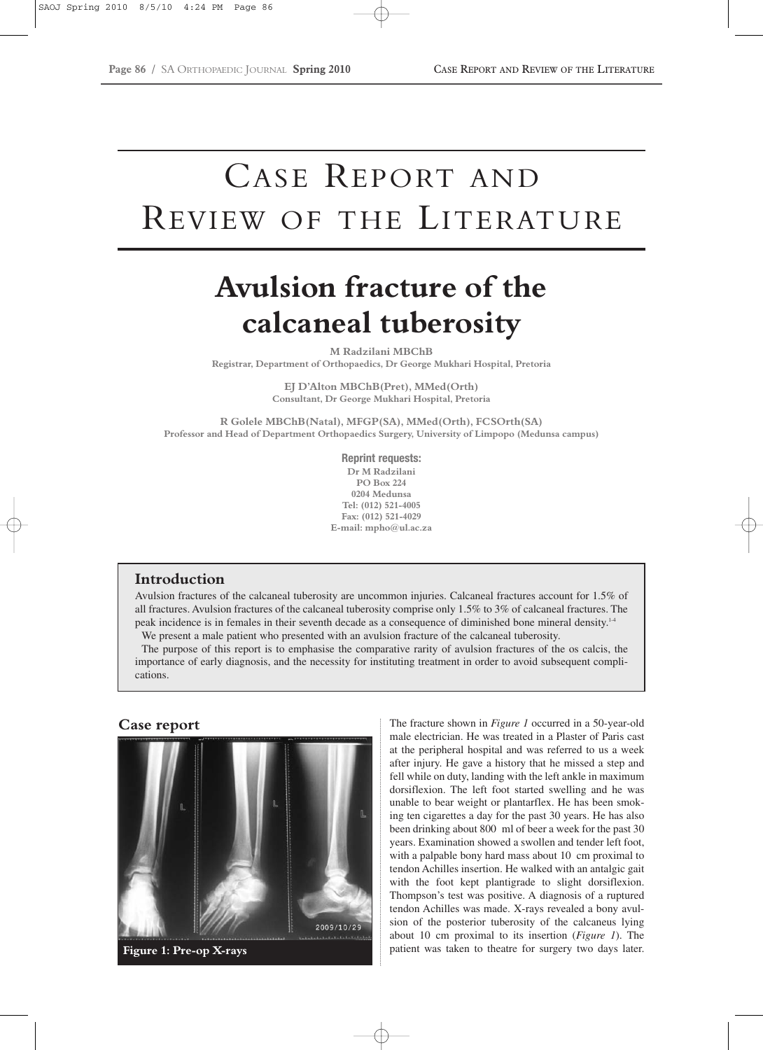# CASE REPORT AND REVIEW OF THE LITERATURE

## **Avulsion fracture of the calcaneal tuberosity**

**M Radzilani MBChB Registrar, Department of Orthopaedics, Dr George Mukhari Hospital, Pretoria**

> **EJ D'Alton MBChB(Pret), MMed(Orth) Consultant, Dr George Mukhari Hospital, Pretoria**

**R Golele MBChB(Natal), MFGP(SA), MMed(Orth), FCSOrth(SA) Professor and Head of Department Orthopaedics Surgery, University of Limpopo (Medunsa campus)**

> **Reprint requests: Dr M Radzilani PO Box 224 0204 Medunsa Tel: (012) 521-4005 Fax: (012) 521-4029 E-mail: mpho@ul.ac.za**

#### **Introduction**

Avulsion fractures of the calcaneal tuberosity are uncommon injuries. Calcaneal fractures account for 1.5% of all fractures. Avulsion fractures of the calcaneal tuberosity comprise only 1.5% to 3% of calcaneal fractures. The peak incidence is in females in their seventh decade as a consequence of diminished bone mineral density.1-4 We present a male patient who presented with an avulsion fracture of the calcaneal tuberosity.

The purpose of this report is to emphasise the comparative rarity of avulsion fractures of the os calcis, the importance of early diagnosis, and the necessity for instituting treatment in order to avoid subsequent complications.



**Case report** The fracture shown in *Figure 1* occurred in a 50-year-old male electrician. He was treated in a Plaster of Paris cast at the peripheral hospital and was referred to us a week after injury. He gave a history that he missed a step and fell while on duty, landing with the left ankle in maximum dorsiflexion. The left foot started swelling and he was unable to bear weight or plantarflex. He has been smoking ten cigarettes a day for the past 30 years. He has also been drinking about 800 ml of beer a week for the past 30 years. Examination showed a swollen and tender left foot, with a palpable bony hard mass about 10 cm proximal to tendon Achilles insertion. He walked with an antalgic gait with the foot kept plantigrade to slight dorsiflexion. Thompson's test was positive. A diagnosis of a ruptured tendon Achilles was made. X-rays revealed a bony avulsion of the posterior tuberosity of the calcaneus lying about 10 cm proximal to its insertion (*Figure 1*). The **Figure 1: Pre-op X-rays patient was taken to theatre for surgery two days later.**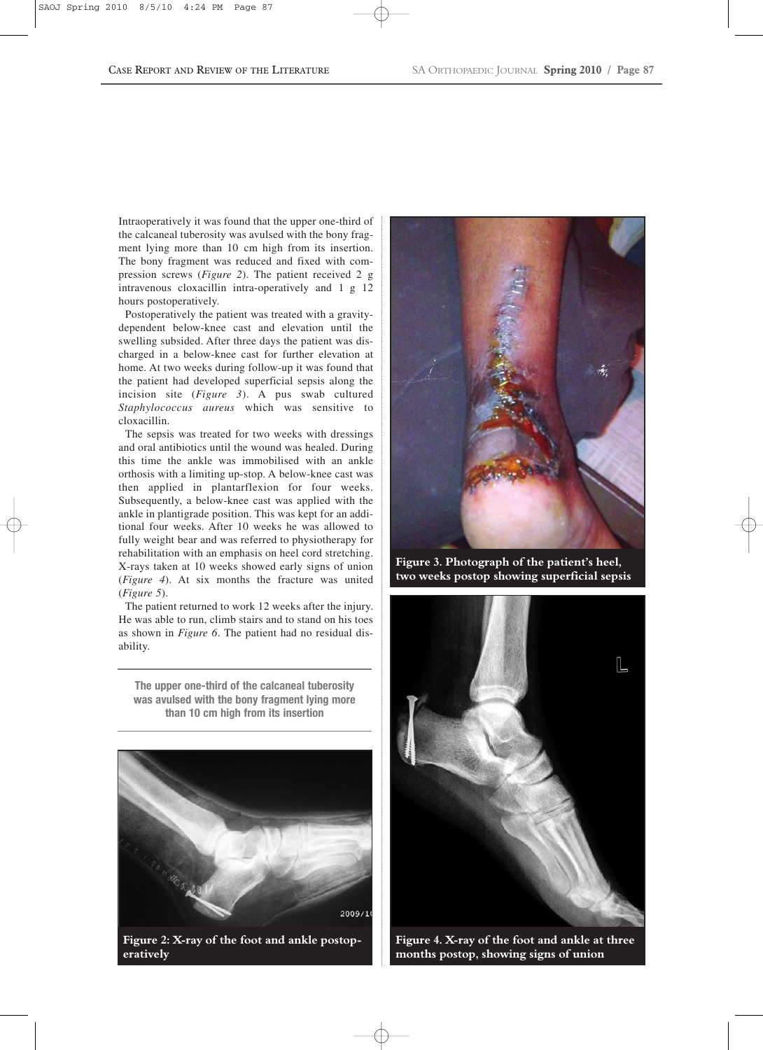Intraoperatively it was found that the upper one-third of the calcaneal tuberosity was avulsed with the bony fragment lying more than 10 cm high from its insertion. The bony fragment was reduced and fixed with compression screws (*Figure 2*). The patient received 2 g intravenous cloxacillin intra-operatively and 1 g 12 hours postoperatively.

Postoperatively the patient was treated with a gravitydependent below-knee cast and elevation until the swelling subsided. After three days the patient was discharged in a below-knee cast for further elevation at home. At two weeks during follow-up it was found that the patient had developed superficial sepsis along the incision site (*Figure 3*). A pus swab cultured *Staphylococcus aureus* which was sensitive to cloxacillin.

The sepsis was treated for two weeks with dressings and oral antibiotics until the wound was healed. During this time the ankle was immobilised with an ankle orthosis with a limiting up-stop. A below-knee cast was then applied in plantarflexion for four weeks. Subsequently, a below-knee cast was applied with the ankle in plantigrade position. This was kept for an additional four weeks. After 10 weeks he was allowed to fully weight bear and was referred to physiotherapy for rehabilitation with an emphasis on heel cord stretching. X-rays taken at 10 weeks showed early signs of union (*Figure 4*). At six months the fracture was united (*Figure 5*).

The patient returned to work 12 weeks after the injury. He was able to run, climb stairs and to stand on his toes as shown in *Figure 6*. The patient had no residual disability.

**The upper one-third of the calcaneal tuberosity was avulsed with the bony fragment lying more than 10 cm high from its insertion**



**eratively**



**Figure 3. Photograph of the patient's heel, two weeks postop showing superficial sepsis**



**Figure 4. X-ray of the foot and ankle at three months postop, showing signs of union**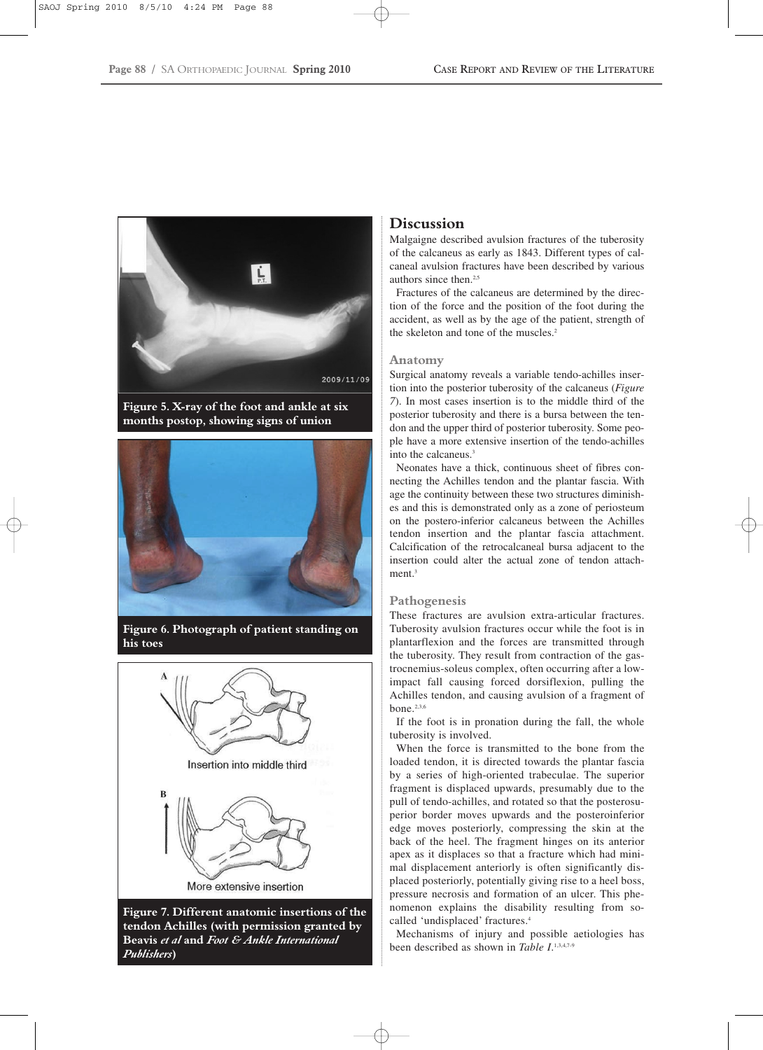

**Figure 5. X-ray of the foot and ankle at six months postop, showing signs of union**



**Figure 6. Photograph of patient standing on his toes**



**tendon Achilles (with permission granted by Beavis** *et al* **and** *Foot & Ankle International Publishers***)**

#### **Discussion**

Malgaigne described avulsion fractures of the tuberosity of the calcaneus as early as 1843. Different types of calcaneal avulsion fractures have been described by various authors since then.<sup>2,5</sup>

Fractures of the calcaneus are determined by the direction of the force and the position of the foot during the accident, as well as by the age of the patient, strength of the skeleton and tone of the muscles.<sup>2</sup>

#### **Anatomy**

Surgical anatomy reveals a variable tendo-achilles insertion into the posterior tuberosity of the calcaneus (*Figure 7*). In most cases insertion is to the middle third of the posterior tuberosity and there is a bursa between the tendon and the upper third of posterior tuberosity. Some people have a more extensive insertion of the tendo-achilles into the calcaneus.<sup>3</sup>

Neonates have a thick, continuous sheet of fibres connecting the Achilles tendon and the plantar fascia. With age the continuity between these two structures diminishes and this is demonstrated only as a zone of periosteum on the postero-inferior calcaneus between the Achilles tendon insertion and the plantar fascia attachment. Calcification of the retrocalcaneal bursa adjacent to the insertion could alter the actual zone of tendon attachment.<sup>3</sup>

#### **Pathogenesis**

These fractures are avulsion extra-articular fractures. Tuberosity avulsion fractures occur while the foot is in plantarflexion and the forces are transmitted through the tuberosity. They result from contraction of the gastrocnemius-soleus complex, often occurring after a lowimpact fall causing forced dorsiflexion, pulling the Achilles tendon, and causing avulsion of a fragment of bone.2,3,6

If the foot is in pronation during the fall, the whole tuberosity is involved.

When the force is transmitted to the bone from the loaded tendon, it is directed towards the plantar fascia by a series of high-oriented trabeculae. The superior fragment is displaced upwards, presumably due to the pull of tendo-achilles, and rotated so that the posterosuperior border moves upwards and the posteroinferior edge moves posteriorly, compressing the skin at the back of the heel. The fragment hinges on its anterior apex as it displaces so that a fracture which had minimal displacement anteriorly is often significantly displaced posteriorly, potentially giving rise to a heel boss, pressure necrosis and formation of an ulcer. This phenomenon explains the disability resulting from socalled 'undisplaced' fractures.<sup>4</sup>

Mechanisms of injury and possible aetiologies has been described as shown in *Table I*. 1,3,4,7-9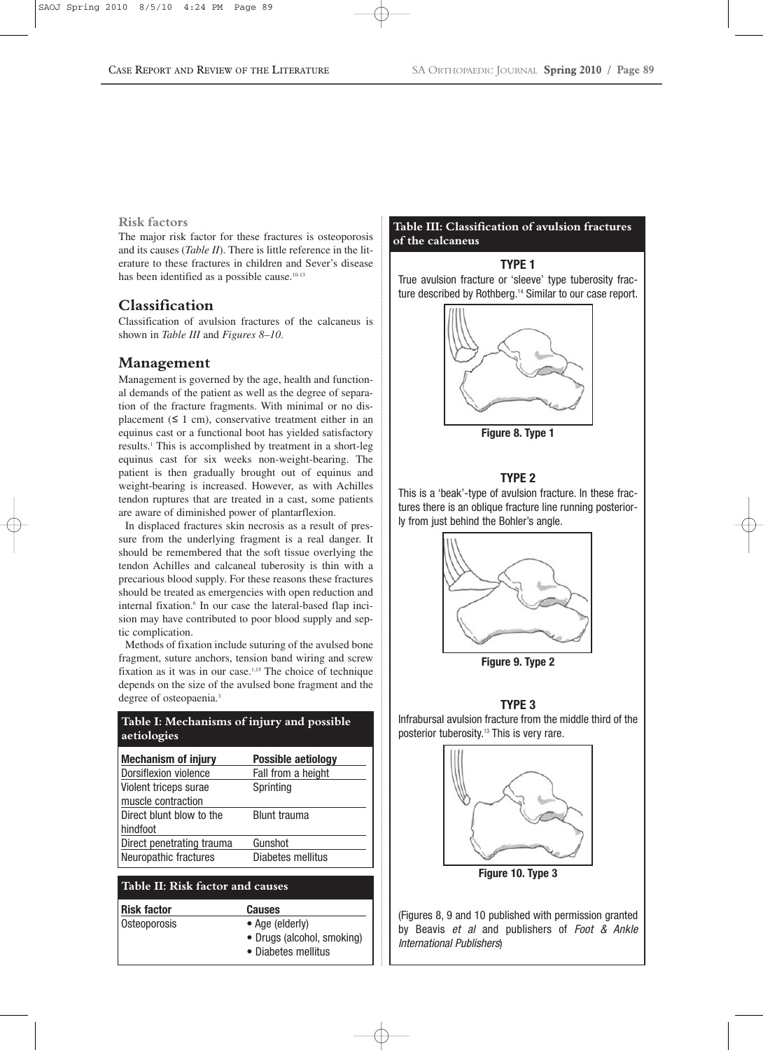#### **Risk factors**

The major risk factor for these fractures is osteoporosis and its causes (*Table II*). There is little reference in the literature to these fractures in children and Sever's disease has been identified as a possible cause.<sup>10-13</sup>

### **Classification**

Classification of avulsion fractures of the calcaneus is shown in *Table III* and *Figures 8–10*.

#### **Management**

Management is governed by the age, health and functional demands of the patient as well as the degree of separation of the fracture fragments. With minimal or no displacement  $(≤ 1 cm)$ , conservative treatment either in an equinus cast or a functional boot has yielded satisfactory results.1 This is accomplished by treatment in a short-leg equinus cast for six weeks non-weight-bearing. The patient is then gradually brought out of equinus and weight-bearing is increased. However, as with Achilles tendon ruptures that are treated in a cast, some patients are aware of diminished power of plantarflexion.

In displaced fractures skin necrosis as a result of pressure from the underlying fragment is a real danger. It should be remembered that the soft tissue overlying the tendon Achilles and calcaneal tuberosity is thin with a precarious blood supply. For these reasons these fractures should be treated as emergencies with open reduction and internal fixation.<sup>6</sup> In our case the lateral-based flap incision may have contributed to poor blood supply and septic complication.

Methods of fixation include suturing of the avulsed bone fragment, suture anchors, tension band wiring and screw fixation as it was in our case.<sup>1,15</sup> The choice of technique depends on the size of the avulsed bone fragment and the degree of osteopaenia.<sup>3</sup>

#### **Table I: Mechanisms of injury and possible aetiologies**

| <b>Mechanism of injury</b> | <b>Possible aetiology</b> |
|----------------------------|---------------------------|
| Dorsiflexion violence      | Fall from a height        |
| Violent triceps surae      | Sprinting                 |
| muscle contraction         |                           |
| Direct blunt blow to the   | <b>Blunt trauma</b>       |
| hindfoot                   |                           |
| Direct penetrating trauma  | Gunshot                   |
| Neuropathic fractures      | Diabetes mellitus         |

#### **Table II: Risk factor and causes**

**Risk factor Causes** Osteoporosis • Age (elderly)

- 
- 
- Drugs (alcohol, smoking)
- Diabetes mellitus

#### **Table III: Classification of avulsion fractures of the calcaneus**

#### **TYPE 1**

True avulsion fracture or 'sleeve' type tuberosity fracture described by Rothberg.<sup>14</sup> Similar to our case report.



**Figure 8. Type 1**

#### **TYPE 2**

This is a 'beak'-type of avulsion fracture. In these fractures there is an oblique fracture line running posteriorly from just behind the Bohler's angle.



**Figure 9. Type 2**

#### **TYPE 3**

Infrabursal avulsion fracture from the middle third of the posterior tuberosity.13 This is very rare.



(Figures 8, 9 and 10 published with permission granted by Beavis *et al* and publishers of *Foot & Ankle International Publishers*)